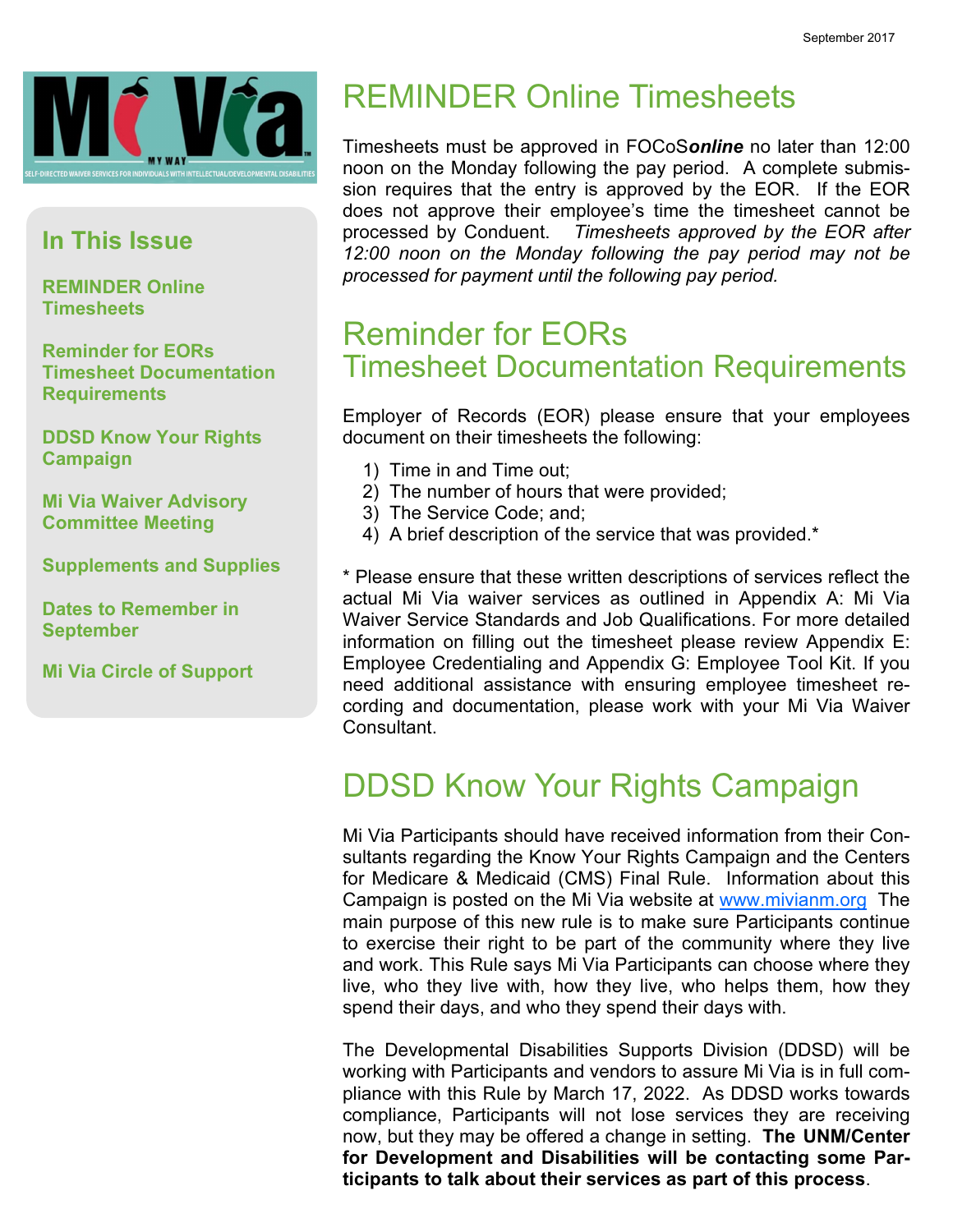

#### In This Issue

REMINDER Online **Timesheets** 

Reminder for EORs Timesheet Documentation **Requirements** 

DDSD Know Your Rights Campaign

Mi Via Waiver Advisory Committee Meeting

Supplements and Supplies

Dates to Remember in September

Mi Via Circle of Support

## REMINDER Online Timesheets

Timesheets must be approved in FOCoSonline no later than 12:00 noon on the Monday following the pay period. A complete submission requires that the entry is approved by the EOR. If the EOR does not approve their employee's time the timesheet cannot be processed by Conduent. Timesheets approved by the EOR after 12:00 noon on the Monday following the pay period may not be processed for payment until the following pay period.

#### Reminder for EORs Timesheet Documentation Requirements

Employer of Records (EOR) please ensure that your employees document on their timesheets the following:

- 1) Time in and Time out;
- 2) The number of hours that were provided;
- 3) The Service Code; and;
- 4) A brief description of the service that was provided.\*

\* Please ensure that these written descriptions of services reflect the actual Mi Via waiver services as outlined in Appendix A: Mi Via Waiver Service Standards and Job Qualifications. For more detailed information on filling out the timesheet please review Appendix E: Employee Credentialing and Appendix G: Employee Tool Kit. If you need additional assistance with ensuring employee timesheet recording and documentation, please work with your Mi Via Waiver Consultant.

## DDSD Know Your Rights Campaign

Mi Via Participants should have received information from their Consultants regarding the Know Your Rights Campaign and the Centers for Medicare & Medicaid (CMS) Final Rule. Information about this Campaign is posted on the Mi Via website at www.mivianm.org The main purpose of this new rule is to make sure Participants continue to exercise their right to be part of the community where they live and work. This Rule says Mi Via Participants can choose where they live, who they live with, how they live, who helps them, how they spend their days, and who they spend their days with.

The Developmental Disabilities Supports Division (DDSD) will be working with Participants and vendors to assure Mi Via is in full compliance with this Rule by March 17, 2022. As DDSD works towards compliance, Participants will not lose services they are receiving now, but they may be offered a change in setting. The UNM/Center for Development and Disabilities will be contacting some Participants to talk about their services as part of this process.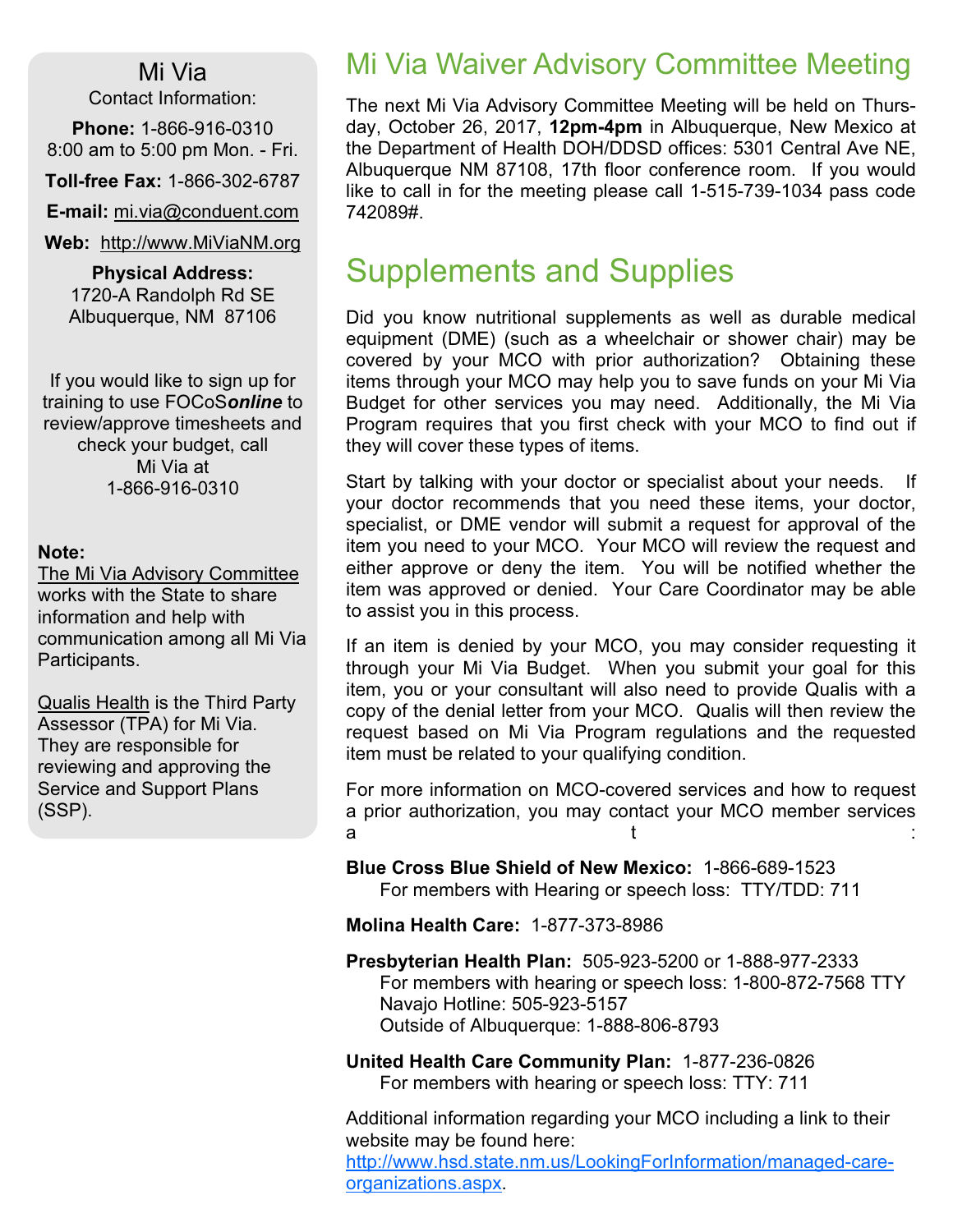#### Mi Via

Contact Information:

Phone: 1-866-916-0310 8:00 am to 5:00 pm Mon. - Fri.

Toll-free Fax: 1-866-302-6787

E-mail: mi.via@conduent.com

Web: http://www.MiViaNM.org

Physical Address: 1720-A Randolph Rd SE Albuquerque, NM 87106

If you would like to sign up for training to use FOCoSonline to review/approve timesheets and check your budget, call Mi Via at 1-866-916-0310

#### Note:

The Mi Via Advisory Committee works with the State to share information and help with communication among all Mi Via Participants.

Qualis Health is the Third Party Assessor (TPA) for Mi Via. They are responsible for reviewing and approving the Service and Support Plans (SSP).

### Mi Via Waiver Advisory Committee Meeting

The next Mi Via Advisory Committee Meeting will be held on Thursday, October 26, 2017, 12pm-4pm in Albuquerque, New Mexico at the Department of Health DOH/DDSD offices: 5301 Central Ave NE, Albuquerque NM 87108, 17th floor conference room. If you would like to call in for the meeting please call 1-515-739-1034 pass code 742089#.

## Supplements and Supplies

Did you know nutritional supplements as well as durable medical equipment (DME) (such as a wheelchair or shower chair) may be covered by your MCO with prior authorization? Obtaining these items through your MCO may help you to save funds on your Mi Via Budget for other services you may need. Additionally, the Mi Via Program requires that you first check with your MCO to find out if they will cover these types of items.

Start by talking with your doctor or specialist about your needs. If your doctor recommends that you need these items, your doctor, specialist, or DME vendor will submit a request for approval of the item you need to your MCO. Your MCO will review the request and either approve or deny the item. You will be notified whether the item was approved or denied. Your Care Coordinator may be able to assist you in this process.

If an item is denied by your MCO, you may consider requesting it through your Mi Via Budget. When you submit your goal for this item, you or your consultant will also need to provide Qualis with a copy of the denial letter from your MCO. Qualis will then review the request based on Mi Via Program regulations and the requested item must be related to your qualifying condition.

For more information on MCO-covered services and how to request a prior authorization, you may contact your MCO member services a the set of  $t$  is the set of  $t$  is the set of  $t$  is the set of  $t$  is the set of  $t$  is the set of  $t$ 

Blue Cross Blue Shield of New Mexico: 1-866-689-1523 For members with Hearing or speech loss: TTY/TDD: 711

Molina Health Care: 1-877-373-8986

Presbyterian Health Plan: 505-923-5200 or 1-888-977-2333 For members with hearing or speech loss: 1-800-872-7568 TTY Navajo Hotline: 505-923-5157 Outside of Albuquerque: 1-888-806-8793

United Health Care Community Plan: 1-877-236-0826 For members with hearing or speech loss: TTY: 711

Additional information regarding your MCO including a link to their website may be found here:

http://www.hsd.state.nm.us/LookingForInformation/managed-careorganizations.aspx.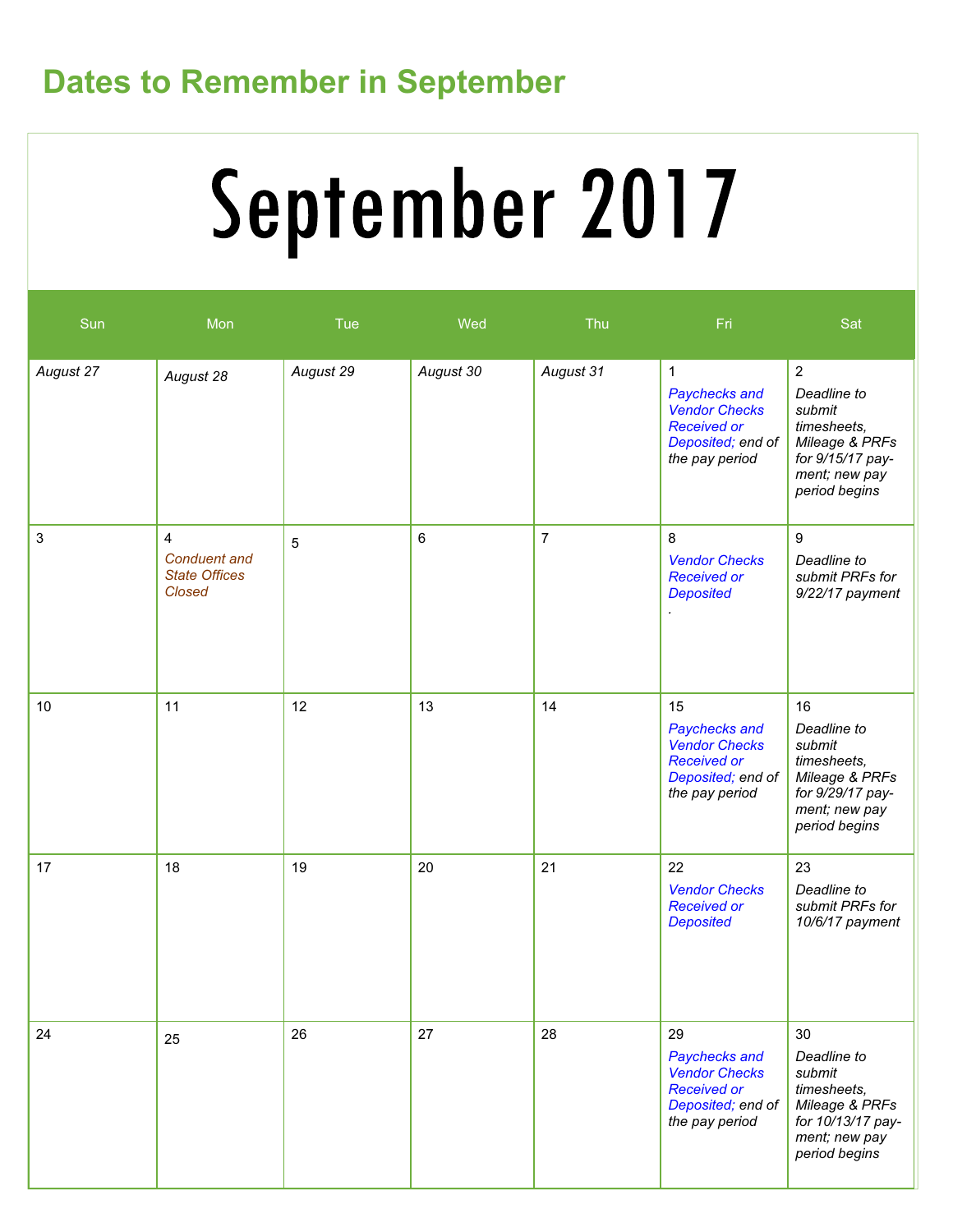# Dates to Remember in September

# September 2017

| Sun       | Mon                                                                     | Tue             | Wed       | Thu            | Fri                                                                                                                | Sat                                                                                                                            |
|-----------|-------------------------------------------------------------------------|-----------------|-----------|----------------|--------------------------------------------------------------------------------------------------------------------|--------------------------------------------------------------------------------------------------------------------------------|
| August 27 | August 28                                                               | August 29       | August 30 | August 31      | $\mathbf{1}$<br>Paychecks and<br><b>Vendor Checks</b><br><b>Received or</b><br>Deposited; end of<br>the pay period | $\overline{2}$<br>Deadline to<br>submit<br>timesheets,<br>Mileage & PRFs<br>for 9/15/17 pay-<br>ment; new pay<br>period begins |
| 3         | $\overline{4}$<br><b>Conduent</b> and<br><b>State Offices</b><br>Closed | $5\phantom{.0}$ | 6         | $\overline{7}$ | 8<br><b>Vendor Checks</b><br><b>Received or</b><br><b>Deposited</b>                                                | 9<br>Deadline to<br>submit PRFs for<br>9/22/17 payment                                                                         |
| 10        | 11                                                                      | 12              | 13        | 14             | 15<br>Paychecks and<br><b>Vendor Checks</b><br><b>Received or</b><br>Deposited; end of<br>the pay period           | 16<br>Deadline to<br>submit<br>timesheets,<br>Mileage & PRFs<br>for 9/29/17 pay-<br>ment; new pay<br>period begins             |
| 17        | 18                                                                      | 19              | 20        | 21             | 22<br><b>Vendor Checks</b><br><b>Received or</b><br><b>Deposited</b>                                               | 23<br>Deadline to<br>submit PRFs for<br>10/6/17 payment                                                                        |
| 24        | 25                                                                      | 26              | 27        | 28             | 29<br>Paychecks and<br><b>Vendor Checks</b><br><b>Received or</b><br>Deposited; end of<br>the pay period           | 30<br>Deadline to<br>submit<br>timesheets,<br>Mileage & PRFs<br>for 10/13/17 pay-<br>ment; new pay<br>period begins            |